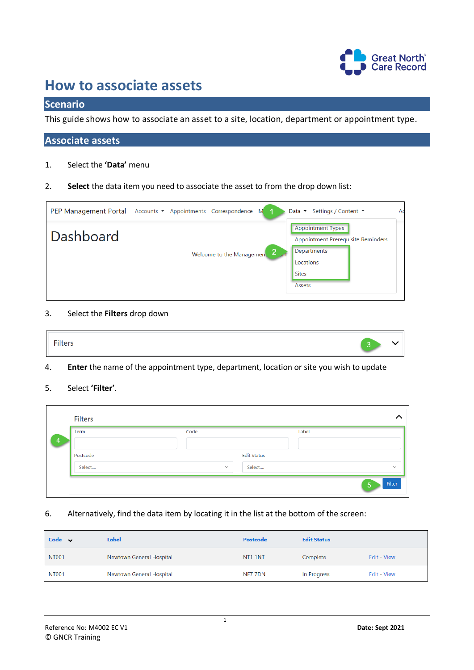

# **How to associate assets**

# **Scenario**

This guide shows how to associate an asset to a site, location, department or appointment type.

# **Associate assets**

- 1. Select the **'Data'** menu
- 2. **Select** the data item you need to associate the asset to from the drop down list:



#### 3. Select the **Filters** drop down

| Filters<br>2 m 2 |  |
|------------------|--|
|------------------|--|

4. **Enter** the name of the appointment type, department, location or site you wish to update

## 5. Select **'Filter'**.

|   | Filters  |              |                    |              |
|---|----------|--------------|--------------------|--------------|
| 4 | Term     | Code         | Label              |              |
|   | Postcode |              | <b>Edit Status</b> |              |
|   | Select   | $\checkmark$ | Select             | $\checkmark$ |
|   |          |              |                    | Filter<br>5  |

6. Alternatively, find the data item by locating it in the list at the bottom of the screen:

| Code $\vee$  | Label                    | Postcode            | <b>Edit Status</b> |             |
|--------------|--------------------------|---------------------|--------------------|-------------|
| <b>NT001</b> | Newtown General Hospital | NT <sub>1</sub> 1NT | Complete           | Edit - View |
| <b>NT001</b> | Newtown General Hospital | NE7 7DN             | In Progress        | Edit - View |